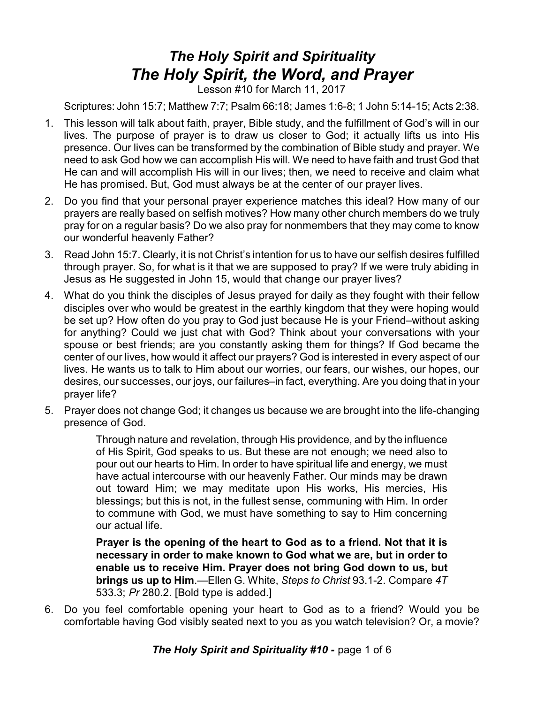## *The Holy Spirit and Spirituality The Holy Spirit, the Word, and Prayer*

Lesson #10 for March 11, 2017

Scriptures: John 15:7; Matthew 7:7; Psalm 66:18; James 1:6-8; 1 John 5:14-15; Acts 2:38.

- 1. This lesson will talk about faith, prayer, Bible study, and the fulfillment of God's will in our lives. The purpose of prayer is to draw us closer to God; it actually lifts us into His presence. Our lives can be transformed by the combination of Bible study and prayer. We need to ask God how we can accomplish His will. We need to have faith and trust God that He can and will accomplish His will in our lives; then, we need to receive and claim what He has promised. But, God must always be at the center of our prayer lives.
- 2. Do you find that your personal prayer experience matches this ideal? How many of our prayers are really based on selfish motives? How many other church members do we truly pray for on a regular basis? Do we also pray for nonmembers that they may come to know our wonderful heavenly Father?
- 3. Read John 15:7. Clearly, it is not Christ's intention for us to have our selfish desires fulfilled through prayer. So, for what is it that we are supposed to pray? If we were truly abiding in Jesus as He suggested in John 15, would that change our prayer lives?
- 4. What do you think the disciples of Jesus prayed for daily as they fought with their fellow disciples over who would be greatest in the earthly kingdom that they were hoping would be set up? How often do you pray to God just because He is your Friend–without asking for anything? Could we just chat with God? Think about your conversations with your spouse or best friends; are you constantly asking them for things? If God became the center of our lives, how would it affect our prayers? God is interested in every aspect of our lives. He wants us to talk to Him about our worries, our fears, our wishes, our hopes, our desires, our successes, our joys, our failures–in fact, everything. Are you doing that in your prayer life?
- 5. Prayer does not change God; it changes us because we are brought into the life-changing presence of God.

Through nature and revelation, through His providence, and by the influence of His Spirit, God speaks to us. But these are not enough; we need also to pour out our hearts to Him. In order to have spiritual life and energy, we must have actual intercourse with our heavenly Father. Our minds may be drawn out toward Him; we may meditate upon His works, His mercies, His blessings; but this is not, in the fullest sense, communing with Him. In order to commune with God, we must have something to say to Him concerning our actual life.

**Prayer is the opening of the heart to God as to a friend. Not that it is necessary in order to make known to God what we are, but in order to enable us to receive Him. Prayer does not bring God down to us, but brings us up to Him**.—Ellen G. White, *Steps to Christ* 93.1-2. Compare *4T* 533.3; *Pr* 280.2. [Bold type is added.]

6. Do you feel comfortable opening your heart to God as to a friend? Would you be comfortable having God visibly seated next to you as you watch television? Or, a movie?

**The Holy Spirit and Spirituality #10 - page 1 of 6**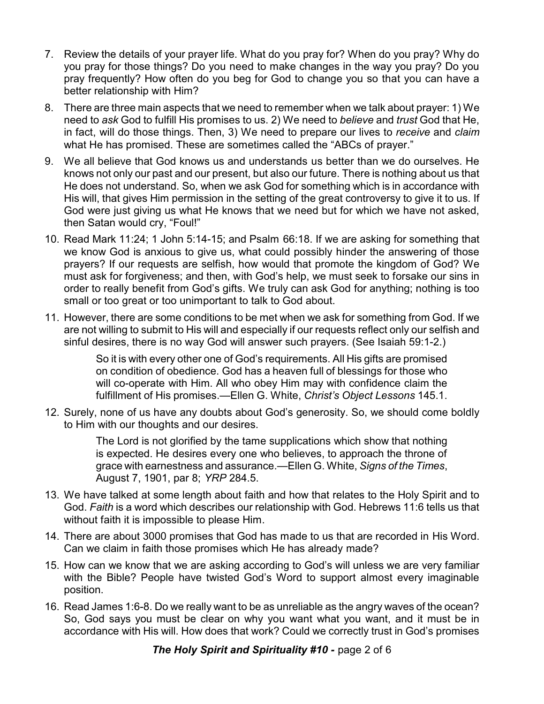- 7. Review the details of your prayer life. What do you pray for? When do you pray? Why do you pray for those things? Do you need to make changes in the way you pray? Do you pray frequently? How often do you beg for God to change you so that you can have a better relationship with Him?
- 8. There are three main aspects that we need to remember when we talk about prayer: 1) We need to *ask* God to fulfill His promises to us. 2) We need to *believe* and *trust* God that He, in fact, will do those things. Then, 3) We need to prepare our lives to *receive* and *claim* what He has promised. These are sometimes called the "ABCs of prayer."
- 9. We all believe that God knows us and understands us better than we do ourselves. He knows not only our past and our present, but also our future. There is nothing about us that He does not understand. So, when we ask God for something which is in accordance with His will, that gives Him permission in the setting of the great controversy to give it to us. If God were just giving us what He knows that we need but for which we have not asked, then Satan would cry, "Foul!"
- 10. Read Mark 11:24; 1 John 5:14-15; and Psalm 66:18. If we are asking for something that we know God is anxious to give us, what could possibly hinder the answering of those prayers? If our requests are selfish, how would that promote the kingdom of God? We must ask for forgiveness; and then, with God's help, we must seek to forsake our sins in order to really benefit from God's gifts. We truly can ask God for anything; nothing is too small or too great or too unimportant to talk to God about.
- 11. However, there are some conditions to be met when we ask for something from God. If we are not willing to submit to His will and especially if our requests reflect only our selfish and sinful desires, there is no way God will answer such prayers. (See Isaiah 59:1-2.)

So it is with every other one of God's requirements. All His gifts are promised on condition of obedience. God has a heaven full of blessings for those who will co-operate with Him. All who obey Him may with confidence claim the fulfillment of His promises.—Ellen G. White, *Christ's Object Lessons* 145.1.

12. Surely, none of us have any doubts about God's generosity. So, we should come boldly to Him with our thoughts and our desires.

> The Lord is not glorified by the tame supplications which show that nothing is expected. He desires every one who believes, to approach the throne of grace with earnestness and assurance.—Ellen G. White, *Signs of the Times*, August 7, 1901, par 8; *YRP* 284.5.

- 13. We have talked at some length about faith and how that relates to the Holy Spirit and to God. *Faith* is a word which describes our relationship with God. Hebrews 11:6 tells us that without faith it is impossible to please Him.
- 14. There are about 3000 promises that God has made to us that are recorded in His Word. Can we claim in faith those promises which He has already made?
- 15. How can we know that we are asking according to God's will unless we are very familiar with the Bible? People have twisted God's Word to support almost every imaginable position.
- 16. Read James 1:6-8. Do we really want to be as unreliable as the angry waves of the ocean? So, God says you must be clear on why you want what you want, and it must be in accordance with His will. How does that work? Could we correctly trust in God's promises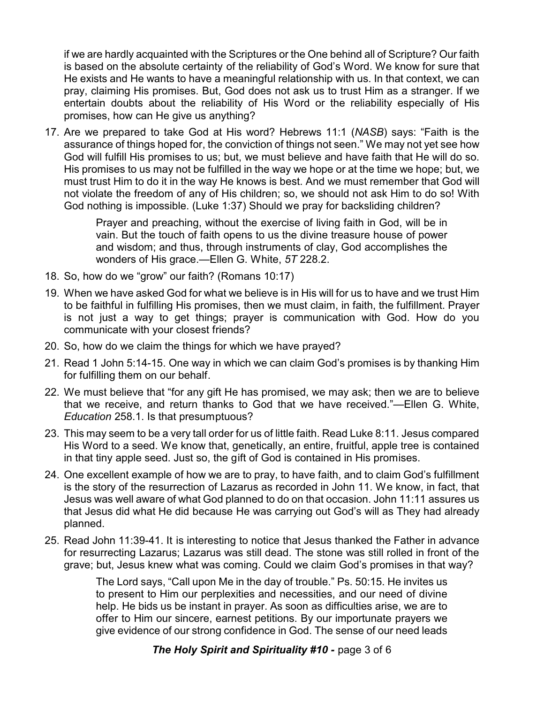if we are hardly acquainted with the Scriptures or the One behind all of Scripture? Our faith is based on the absolute certainty of the reliability of God's Word. We know for sure that He exists and He wants to have a meaningful relationship with us. In that context, we can pray, claiming His promises. But, God does not ask us to trust Him as a stranger. If we entertain doubts about the reliability of His Word or the reliability especially of His promises, how can He give us anything?

17. Are we prepared to take God at His word? Hebrews 11:1 (*NASB*) says: "Faith is the assurance of things hoped for, the conviction of things not seen." We may not yet see how God will fulfill His promises to us; but, we must believe and have faith that He will do so. His promises to us may not be fulfilled in the way we hope or at the time we hope; but, we must trust Him to do it in the way He knows is best. And we must remember that God will not violate the freedom of any of His children; so, we should not ask Him to do so! With God nothing is impossible. (Luke 1:37) Should we pray for backsliding children?

> Prayer and preaching, without the exercise of living faith in God, will be in vain. But the touch of faith opens to us the divine treasure house of power and wisdom; and thus, through instruments of clay, God accomplishes the wonders of His grace.—Ellen G. White, *5T* 228.2.

- 18. So, how do we "grow" our faith? (Romans 10:17)
- 19. When we have asked God for what we believe is in His will for us to have and we trust Him to be faithful in fulfilling His promises, then we must claim, in faith, the fulfillment. Prayer is not just a way to get things; prayer is communication with God. How do you communicate with your closest friends?
- 20. So, how do we claim the things for which we have prayed?
- 21. Read 1 John 5:14-15. One way in which we can claim God's promises is by thanking Him for fulfilling them on our behalf.
- 22. We must believe that "for any gift He has promised, we may ask; then we are to believe that we receive, and return thanks to God that we have received."—Ellen G. White, *Education* 258.1. Is that presumptuous?
- 23. This may seem to be a very tall order for us of little faith. Read Luke 8:11. Jesus compared His Word to a seed. We know that, genetically, an entire, fruitful, apple tree is contained in that tiny apple seed. Just so, the gift of God is contained in His promises.
- 24. One excellent example of how we are to pray, to have faith, and to claim God's fulfillment is the story of the resurrection of Lazarus as recorded in John 11. We know, in fact, that Jesus was well aware of what God planned to do on that occasion. John 11:11 assures us that Jesus did what He did because He was carrying out God's will as They had already planned.
- 25. Read John 11:39-41. It is interesting to notice that Jesus thanked the Father in advance for resurrecting Lazarus; Lazarus was still dead. The stone was still rolled in front of the grave; but, Jesus knew what was coming. Could we claim God's promises in that way?

The Lord says, "Call upon Me in the day of trouble." Ps. 50:15. He invites us to present to Him our perplexities and necessities, and our need of divine help. He bids us be instant in prayer. As soon as difficulties arise, we are to offer to Him our sincere, earnest petitions. By our importunate prayers we give evidence of our strong confidence in God. The sense of our need leads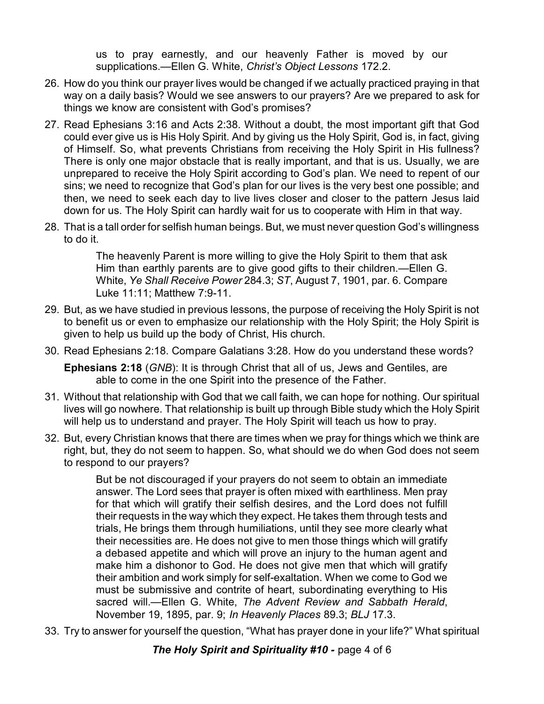us to pray earnestly, and our heavenly Father is moved by our supplications.—Ellen G. White, *Christ's Object Lessons* 172.2.

- 26. How do you think our prayer lives would be changed if we actually practiced praying in that way on a daily basis? Would we see answers to our prayers? Are we prepared to ask for things we know are consistent with God's promises?
- 27. Read Ephesians 3:16 and Acts 2:38. Without a doubt, the most important gift that God could ever give us is His Holy Spirit. And by giving us the Holy Spirit, God is, in fact, giving of Himself. So, what prevents Christians from receiving the Holy Spirit in His fullness? There is only one major obstacle that is really important, and that is us. Usually, we are unprepared to receive the Holy Spirit according to God's plan. We need to repent of our sins; we need to recognize that God's plan for our lives is the very best one possible; and then, we need to seek each day to live lives closer and closer to the pattern Jesus laid down for us. The Holy Spirit can hardly wait for us to cooperate with Him in that way.
- 28. That is a tall order for selfish human beings. But, we must never question God's willingness to do it.

The heavenly Parent is more willing to give the Holy Spirit to them that ask Him than earthly parents are to give good gifts to their children.—Ellen G. White, *Ye Shall Receive Power* 284.3; *ST*, August 7, 1901, par. 6. Compare Luke 11:11; Matthew 7:9-11.

- 29. But, as we have studied in previous lessons, the purpose of receiving the Holy Spirit is not to benefit us or even to emphasize our relationship with the Holy Spirit; the Holy Spirit is given to help us build up the body of Christ, His church.
- 30. Read Ephesians 2:18. Compare Galatians 3:28. How do you understand these words?

**Ephesians 2:18** (*GNB*): It is through Christ that all of us, Jews and Gentiles, are able to come in the one Spirit into the presence of the Father.

- 31. Without that relationship with God that we call faith, we can hope for nothing. Our spiritual lives will go nowhere. That relationship is built up through Bible study which the Holy Spirit will help us to understand and prayer. The Holy Spirit will teach us how to pray.
- 32. But, every Christian knows that there are times when we pray for things which we think are right, but, they do not seem to happen. So, what should we do when God does not seem to respond to our prayers?

But be not discouraged if your prayers do not seem to obtain an immediate answer. The Lord sees that prayer is often mixed with earthliness. Men pray for that which will gratify their selfish desires, and the Lord does not fulfill their requests in the way which they expect. He takes them through tests and trials, He brings them through humiliations, until they see more clearly what their necessities are. He does not give to men those things which will gratify a debased appetite and which will prove an injury to the human agent and make him a dishonor to God. He does not give men that which will gratify their ambition and work simply for self-exaltation. When we come to God we must be submissive and contrite of heart, subordinating everything to His sacred will.—Ellen G. White, *The Advent Review and Sabbath Herald*, November 19, 1895, par. 9; *In Heavenly Places* 89.3; *BLJ* 17.3.

33. Try to answer for yourself the question, "What has prayer done in your life?" What spiritual

*The Holy Spirit and Spirituality #10 - page 4 of 6*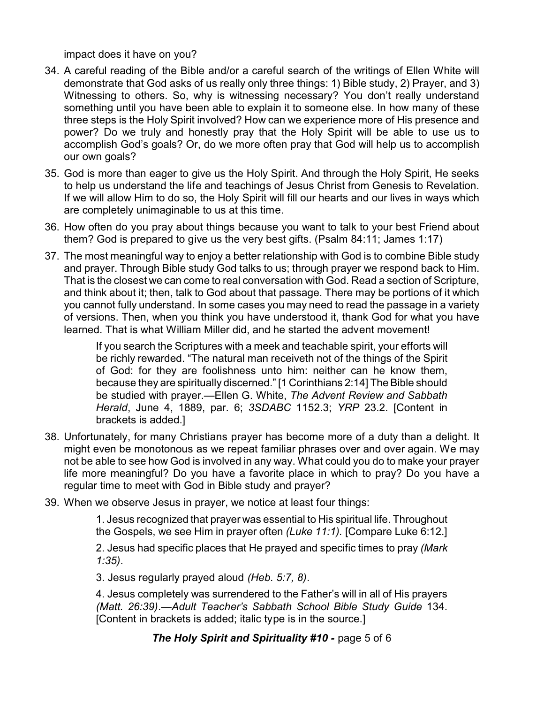impact does it have on you?

- 34. A careful reading of the Bible and/or a careful search of the writings of Ellen White will demonstrate that God asks of us really only three things: 1) Bible study, 2) Prayer, and 3) Witnessing to others. So, why is witnessing necessary? You don't really understand something until you have been able to explain it to someone else. In how many of these three steps is the Holy Spirit involved? How can we experience more of His presence and power? Do we truly and honestly pray that the Holy Spirit will be able to use us to accomplish God's goals? Or, do we more often pray that God will help us to accomplish our own goals?
- 35. God is more than eager to give us the Holy Spirit. And through the Holy Spirit, He seeks to help us understand the life and teachings of Jesus Christ from Genesis to Revelation. If we will allow Him to do so, the Holy Spirit will fill our hearts and our lives in ways which are completely unimaginable to us at this time.
- 36. How often do you pray about things because you want to talk to your best Friend about them? God is prepared to give us the very best gifts. (Psalm 84:11; James 1:17)
- 37. The most meaningful way to enjoy a better relationship with God is to combine Bible study and prayer. Through Bible study God talks to us; through prayer we respond back to Him. That is the closest we can come to real conversation with God. Read a section of Scripture, and think about it; then, talk to God about that passage. There may be portions of it which you cannot fully understand. In some cases you may need to read the passage in a variety of versions. Then, when you think you have understood it, thank God for what you have learned. That is what William Miller did, and he started the advent movement!

If you search the Scriptures with a meek and teachable spirit, your efforts will be richly rewarded. "The natural man receiveth not of the things of the Spirit of God: for they are foolishness unto him: neither can he know them, because they are spiritually discerned." [1 Corinthians 2:14] The Bible should be studied with prayer.—Ellen G. White, *The Advent Review and Sabbath Herald*, June 4, 1889, par. 6; *3SDABC* 1152.3; *YRP* 23.2. [Content in brackets is added.]

- 38. Unfortunately, for many Christians prayer has become more of a duty than a delight. It might even be monotonous as we repeat familiar phrases over and over again. We may not be able to see how God is involved in any way. What could you do to make your prayer life more meaningful? Do you have a favorite place in which to pray? Do you have a regular time to meet with God in Bible study and prayer?
- 39. When we observe Jesus in prayer, we notice at least four things:

1. Jesus recognized that prayer was essential to His spiritual life. Throughout the Gospels, we see Him in prayer often *(Luke 11:1).* [Compare Luke 6:12.]

2. Jesus had specific places that He prayed and specific times to pray *(Mark 1:35)*.

3. Jesus regularly prayed aloud *(Heb. 5:7, 8)*.

4. Jesus completely was surrendered to the Father's will in all of His prayers *(Matt. 26:39)*.—*Adult Teacher's Sabbath School Bible Study Guide* 134. [Content in brackets is added; italic type is in the source.]

**The Holy Spirit and Spirituality #10 - page 5 of 6**